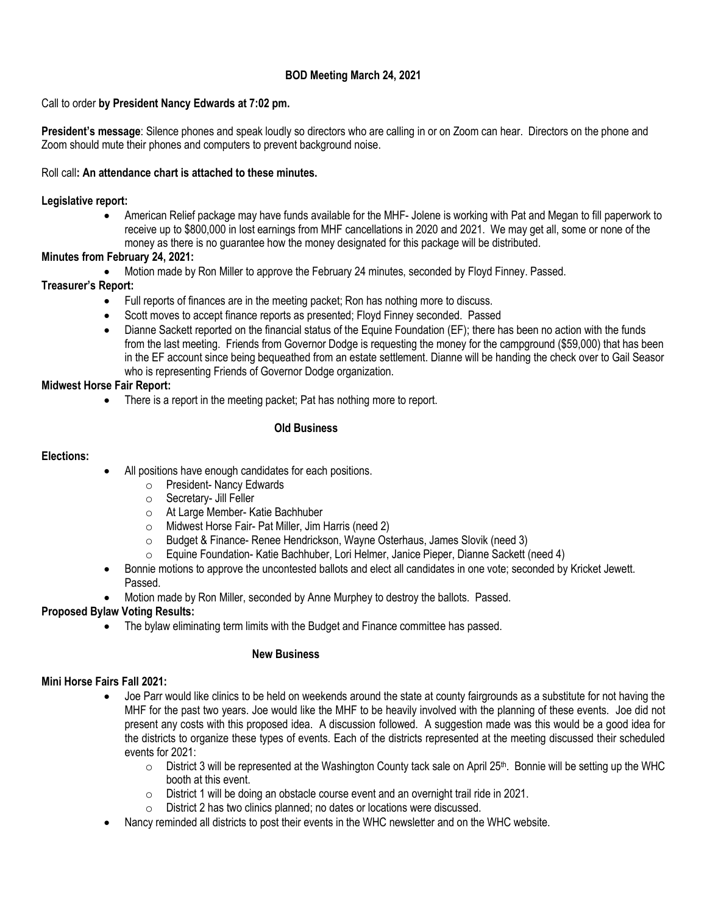# **BOD Meeting March 24, 2021**

## Call to order **by President Nancy Edwards at 7:02 pm.**

**President's message**: Silence phones and speak loudly so directors who are calling in or on Zoom can hear. Directors on the phone and Zoom should mute their phones and computers to prevent background noise.

### Roll call**: An attendance chart is attached to these minutes.**

### **Legislative report:**

• American Relief package may have funds available for the MHF- Jolene is working with Pat and Megan to fill paperwork to receive up to \$800,000 in lost earnings from MHF cancellations in 2020 and 2021. We may get all, some or none of the money as there is no guarantee how the money designated for this package will be distributed.

## **Minutes from February 24, 2021:**

• Motion made by Ron Miller to approve the February 24 minutes, seconded by Floyd Finney. Passed.

# **Treasurer's Report:**

- Full reports of finances are in the meeting packet; Ron has nothing more to discuss.
- Scott moves to accept finance reports as presented; Floyd Finney seconded. Passed
- Dianne Sackett reported on the financial status of the Equine Foundation (EF); there has been no action with the funds from the last meeting. Friends from Governor Dodge is requesting the money for the campground (\$59,000) that has been in the EF account since being bequeathed from an estate settlement. Dianne will be handing the check over to Gail Seasor who is representing Friends of Governor Dodge organization.

## **Midwest Horse Fair Report:**

There is a report in the meeting packet; Pat has nothing more to report.

## **Old Business**

### **Elections:**

- All positions have enough candidates for each positions.
	- o President- Nancy Edwards
	- o Secretary- Jill Feller
	- o At Large Member- Katie Bachhuber
	- o Midwest Horse Fair- Pat Miller, Jim Harris (need 2)
	- o Budget & Finance- Renee Hendrickson, Wayne Osterhaus, James Slovik (need 3)
	- o Equine Foundation- Katie Bachhuber, Lori Helmer, Janice Pieper, Dianne Sackett (need 4)
- Bonnie motions to approve the uncontested ballots and elect all candidates in one vote; seconded by Kricket Jewett. Passed.
- Motion made by Ron Miller, seconded by Anne Murphey to destroy the ballots. Passed.

# **Proposed Bylaw Voting Results:**

• The bylaw eliminating term limits with the Budget and Finance committee has passed.

#### **New Business**

# **Mini Horse Fairs Fall 2021:**

- Joe Parr would like clinics to be held on weekends around the state at county fairgrounds as a substitute for not having the MHF for the past two years. Joe would like the MHF to be heavily involved with the planning of these events. Joe did not present any costs with this proposed idea. A discussion followed. A suggestion made was this would be a good idea for the districts to organize these types of events. Each of the districts represented at the meeting discussed their scheduled events for 2021:
	- $\circ$  District 3 will be represented at the Washington County tack sale on April 25th. Bonnie will be setting up the WHC booth at this event.
	- o District 1 will be doing an obstacle course event and an overnight trail ride in 2021.
	- o District 2 has two clinics planned; no dates or locations were discussed.
- Nancy reminded all districts to post their events in the WHC newsletter and on the WHC website.